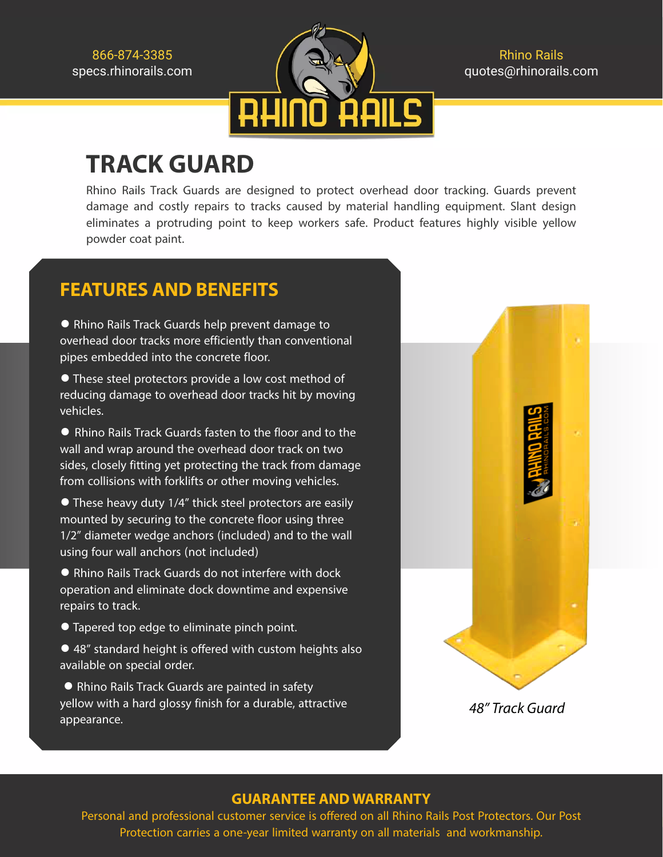

Rhino Rails quotes@rhinorails.com

## **TRACK GUARD**

Rhino Rails Track Guards are designed to protect overhead door tracking. Guards prevent damage and costly repairs to tracks caused by material handling equipment. Slant design eliminates a protruding point to keep workers safe. Product features highly visible yellow powder coat paint.

## **FEATURES AND BENEFITS**

**●** Rhino Rails Track Guards help prevent damage to overhead door tracks more efficiently than conventional pipes embedded into the concrete floor.

**●** These steel protectors provide a low cost method of reducing damage to overhead door tracks hit by moving vehicles.

**●** Rhino Rails Track Guards fasten to the floor and to the wall and wrap around the overhead door track on two sides, closely fitting yet protecting the track from damage from collisions with forklifts or other moving vehicles.

**●** These heavy duty 1/4" thick steel protectors are easily mounted by securing to the concrete floor using three 1/2" diameter wedge anchors (included) and to the wall using four wall anchors (not included)

● Rhino Rails Track Guards do not interfere with dock operation and eliminate dock downtime and expensive repairs to track.

- **●** Tapered top edge to eliminate pinch point.
- **●** 48" standard height is offered with custom heights also available on special order.

**●** Rhino Rails Track Guards are painted in safety yellow with a hard glossy finish for a durable, attractive appearance.



## **GUARANTEE AND WARRANTY**

Personal and professional customer service is offered on all Rhino Rails Post Protectors. Our Post Protection carries a one-year limited warranty on all materials and workmanship.